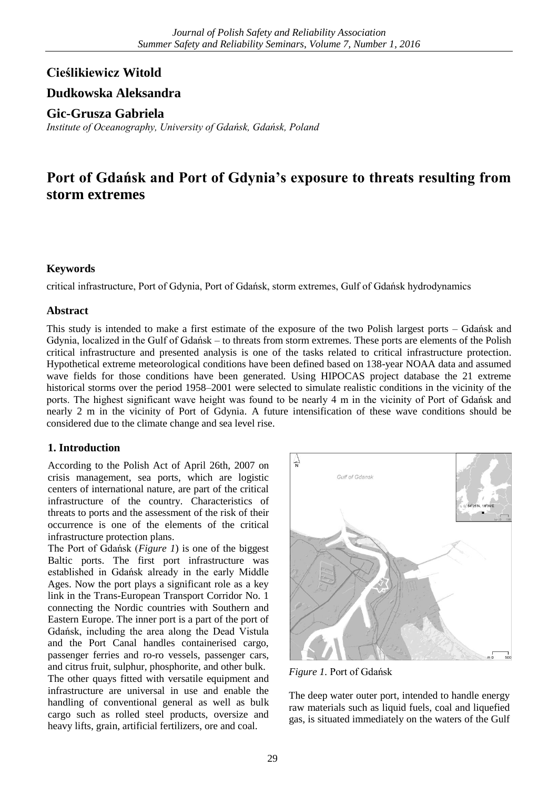# **Cieślikiewicz Witold**

# **Dudkowska Aleksandra**

**Gic-Grusza Gabriela**

*Institute of Oceanography, University of Gdańsk, Gdańsk, Poland*

# **Port of Gdańsk and Port of Gdynia's exposure to threats resulting from storm extremes**

# **Keywords**

critical infrastructure, Port of Gdynia, Port of Gdańsk, storm extremes, Gulf of Gdańsk hydrodynamics

### **Abstract**

This study is intended to make a first estimate of the exposure of the two Polish largest ports – Gdańsk and Gdynia, localized in the Gulf of Gdańsk – to threats from storm extremes. These ports are elements of the Polish critical infrastructure and presented analysis is one of the tasks related to critical infrastructure protection. Hypothetical extreme meteorological conditions have been defined based on 138-year NOAA data and assumed wave fields for those conditions have been generated. Using HIPOCAS project database the 21 extreme historical storms over the period 1958–2001 were selected to simulate realistic conditions in the vicinity of the ports. The highest significant wave height was found to be nearly 4 m in the vicinity of Port of Gdańsk and nearly 2 m in the vicinity of Port of Gdynia. A future intensification of these wave conditions should be considered due to the climate change and sea level rise.

# **1. Introduction**

According to the Polish Act of April 26th, 2007 on crisis management, sea ports, which are logistic centers of international nature, are part of the critical infrastructure of the country. Characteristics of threats to ports and the assessment of the risk of their occurrence is one of the elements of the critical infrastructure protection plans.

The Port of Gdańsk (*Figure 1*) is one of the biggest Baltic ports. The first port infrastructure was established in Gdańsk already in the early Middle Ages. Now the port plays a significant role as a key link in the Trans-European Transport Corridor No. 1 connecting the Nordic countries with Southern and Eastern Europe. The inner port is a part of the port of Gdańsk, including the area along the Dead Vistula and the Port Canal handles containerised cargo, passenger ferries and ro-ro vessels, passenger cars, and citrus fruit, sulphur, phosphorite, and other bulk. The other quays fitted with versatile equipment and infrastructure are universal in use and enable the handling of conventional general as well as bulk cargo such as rolled steel products, oversize and heavy lifts, grain, artificial fertilizers, ore and coal.



*Figure 1.* Port of Gdańsk

The deep water outer port, intended to handle energy raw materials such as liquid fuels, coal and liquefied gas, is situated immediately on the waters of the Gulf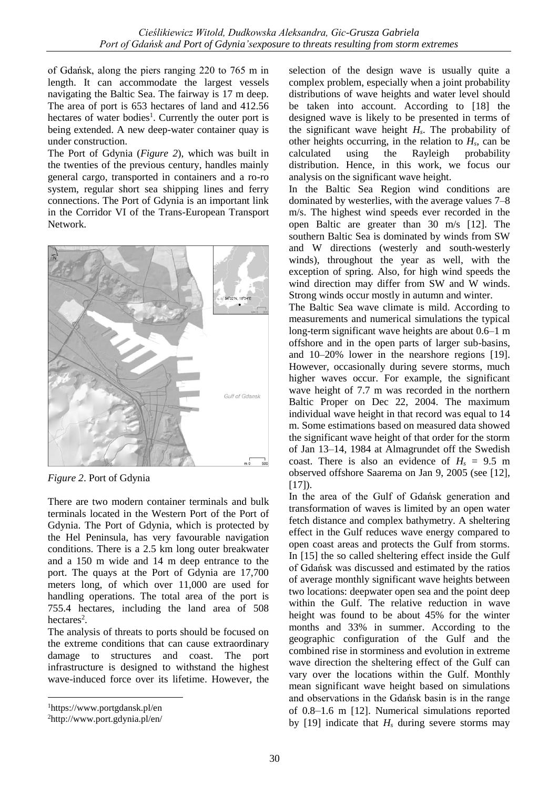of Gdańsk, along the piers ranging 220 to 765 m in length. It can accommodate the largest vessels navigating the Baltic Sea. The fairway is 17 m deep. The area of port is 653 hectares of land and 412.56 hectares of water bodies<sup>1</sup>. Currently the outer port is being extended. A new deep-water container quay is under construction.

The Port of Gdynia (*Figure 2*), which was built in the twenties of the previous century, handles mainly general cargo, transported in containers and a ro-ro system, regular short sea shipping lines and ferry connections. The Port of Gdynia is an important link in the Corridor VI of the Trans-European Transport Network.



*Figure 2*. Port of Gdynia

There are two modern container terminals and bulk terminals located in the Western Port of the Port of Gdynia. The Port of Gdynia, which is protected by the Hel Peninsula, has very favourable navigation conditions. There is a 2.5 km long outer breakwater and a 150 m wide and 14 m deep entrance to the port. The quays at the Port of Gdynia are 17,700 meters long, of which over 11,000 are used for handling operations. The total area of the port is 755.4 hectares, including the land area of 508 hectares<sup>2</sup>.

The analysis of threats to ports should be focused on the extreme conditions that can cause extraordinary damage to structures and coast. The port infrastructure is designed to withstand the highest wave-induced force over its lifetime. However, the

<u>.</u>

selection of the design wave is usually quite a complex problem, especially when a joint probability distributions of wave heights and water level should be taken into account. According to [18] the designed wave is likely to be presented in terms of the significant wave height  $H_s$ . The probability of other heights occurring, in the relation to *Hs*, can be calculated using the Rayleigh probability distribution. Hence, in this work, we focus our analysis on the significant wave height.

In the Baltic Sea Region wind conditions are dominated by westerlies, with the average values 7–8 m/s. The highest wind speeds ever recorded in the open Baltic are greater than 30 m/s [12]. The southern Baltic Sea is dominated by winds from SW and W directions (westerly and south-westerly winds), throughout the year as well, with the exception of spring. Also, for high wind speeds the wind direction may differ from SW and W winds. Strong winds occur mostly in autumn and winter.

The Baltic Sea wave climate is mild. According to measurements and numerical simulations the typical long-term significant wave heights are about 0.6–1 m offshore and in the open parts of larger sub-basins, and 10–20% lower in the nearshore regions [19]. However, occasionally during severe storms, much higher waves occur. For example, the significant wave height of 7.7 m was recorded in the northern Baltic Proper on Dec 22, 2004. The maximum individual wave height in that record was equal to 14 m. Some estimations based on measured data showed the significant wave height of that order for the storm of Jan 13–14, 1984 at Almagrundet off the Swedish coast. There is also an evidence of  $H_s = 9.5$  m observed offshore Saarema on Jan 9, 2005 (see [12], [17]).

In the area of the Gulf of Gdańsk generation and transformation of waves is limited by an open water fetch distance and complex bathymetry. A sheltering effect in the Gulf reduces wave energy compared to open coast areas and protects the Gulf from storms. In [15] the so called sheltering effect inside the Gulf of Gdańsk was discussed and estimated by the ratios of average monthly significant wave heights between two locations: deepwater open sea and the point deep within the Gulf. The relative reduction in wave height was found to be about 45% for the winter months and 33% in summer. According to the geographic configuration of the Gulf and the combined rise in storminess and evolution in extreme wave direction the sheltering effect of the Gulf can vary over the locations within the Gulf. Monthly mean significant wave height based on simulations and observations in the Gdańsk basin is in the range of 0.8–1.6 m [12]. Numerical simulations reported by [19] indicate that  $H_s$  during severe storms may

<sup>1</sup>https://www.portgdansk.pl/en

<sup>2</sup>http://www.port.gdynia.pl/en/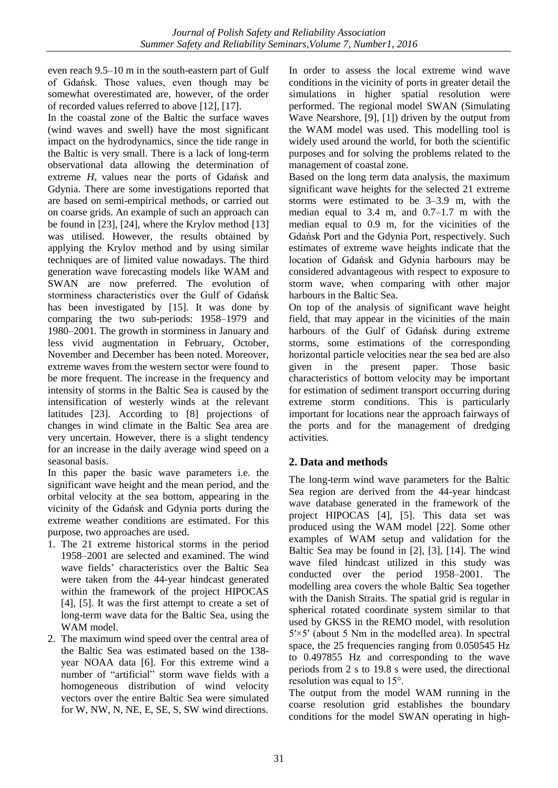even reach 9.5–10 m in the south-eastern part of Gulf of Gdańsk. Those values, even though may be somewhat overestimated are, however, of the order of recorded values referred to above [12], [17].

In the coastal zone of the Baltic the surface waves (wind waves and swell) have the most significant impact on the hydrodynamics, since the tide range in the Baltic is very small. There is a lack of long-term observational data allowing the determination of extreme *H<sup>s</sup>* values near the ports of Gdańsk and Gdynia. There are some investigations reported that are based on semi-empirical methods, or carried out on coarse grids. An example of such an approach can be found in [23], [24], where the Krylov method [13] was utilised. However, the results obtained by applying the Krylov method and by using similar techniques are of limited value nowadays. The third generation wave forecasting models like WAM and SWAN are now preferred. The evolution of storminess characteristics over the Gulf of Gdańsk has been investigated by [15]. It was done by comparing the two sub-periods: 1958–1979 and 1980–2001. The growth in storminess in January and less vivid augmentation in February, October, November and December has been noted. Moreover, extreme waves from the western sector were found to be more frequent. The increase in the frequency and intensity of storms in the Baltic Sea is caused by the intensification of westerly winds at the relevant latitudes [23]. According to [8] projections of changes in wind climate in the Baltic Sea area are very uncertain. However, there is a slight tendency for an increase in the daily average wind speed on a seasonal basis.

In this paper the basic wave parameters i.e. the significant wave height and the mean period, and the orbital velocity at the sea bottom, appearing in the vicinity of the Gdańsk and Gdynia ports during the extreme weather conditions are estimated. For this purpose, two approaches are used.

- 1. The 21 extreme historical storms in the period 1958–2001 are selected and examined. The wind wave fields' characteristics over the Baltic Sea were taken from the 44-year hindcast generated within the framework of the project HIPOCAS [4], [5]. It was the first attempt to create a set of long-term wave data for the Baltic Sea, using the WAM model.
- 2. The maximum wind speed over the central area of the Baltic Sea was estimated based on the 138 year NOAA data [6]. For this extreme wind a number of "artificial" storm wave fields with a homogeneous distribution of wind velocity vectors over the entire Baltic Sea were simulated for W, NW, N, NE, E, SE, S, SW wind directions.

In order to assess the local extreme wind wave conditions in the vicinity of ports in greater detail the simulations in higher spatial resolution were performed. The regional model SWAN (Simulating Wave Nearshore, [9], [1]) driven by the output from the WAM model was used. This modelling tool is widely used around the world, for both the scientific purposes and for solving the problems related to the management of coastal zone.

Based on the long term data analysis, the maximum significant wave heights for the selected 21 extreme storms were estimated to be 3–3.9 m, with the median equal to  $3.4$  m, and  $0.7-1.7$  m with the median equal to 0.9 m, for the vicinities of the Gdańsk Port and the Gdynia Port, respectively. Such estimates of extreme wave heights indicate that the location of Gdańsk and Gdynia harbours may be considered advantageous with respect to exposure to storm wave, when comparing with other major harbours in the Baltic Sea.

On top of the analysis of significant wave height field, that may appear in the vicinities of the main harbours of the Gulf of Gdańsk during extreme storms, some estimations of the corresponding horizontal particle velocities near the sea bed are also given in the present paper. Those basic characteristics of bottom velocity may be important for estimation of sediment transport occurring during extreme storm conditions. This is particularly important for locations near the approach fairways of the ports and for the management of dredging activities.

# **2. Data and methods**

The long-term wind wave parameters for the Baltic Sea region are derived from the 44-year hindcast wave database generated in the framework of the project HIPOCAS [4], [5]. This data set was produced using the WAM model [22]. Some other examples of WAM setup and validation for the Baltic Sea may be found in [2], [3], [14]. The wind wave filed hindcast utilized in this study was conducted over the period 1958–2001. The modelling area covers the whole Baltic Sea together with the Danish Straits. The spatial grid is regular in spherical rotated coordinate system similar to that used by GKSS in the REMO model, with resolution  $5' \times 5'$  (about 5 Nm in the modelled area). In spectral space, the 25 frequencies ranging from 0.050545 Hz to 0.497855 Hz and corresponding to the wave periods from 2 s to 19.8 s were used, the directional resolution was equal to 15°.

The output from the model WAM running in the coarse resolution grid establishes the boundary conditions for the model SWAN operating in high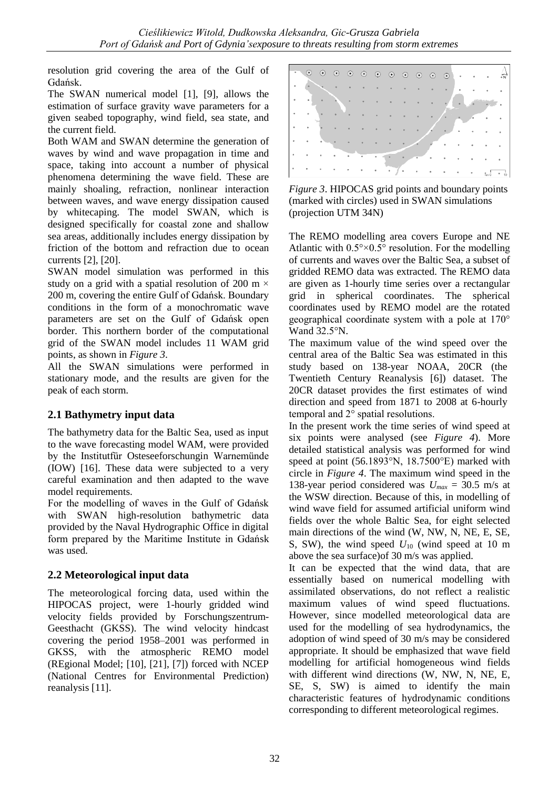resolution grid covering the area of the Gulf of Gdańsk.

The SWAN numerical model [1], [9], allows the estimation of surface gravity wave parameters for a given seabed topography, wind field, sea state, and the current field.

Both WAM and SWAN determine the generation of waves by wind and wave propagation in time and space, taking into account a number of physical phenomena determining the wave field. These are mainly shoaling, refraction, nonlinear interaction between waves, and wave energy dissipation caused by whitecaping. The model SWAN, which is designed specifically for coastal zone and shallow sea areas, additionally includes energy dissipation by friction of the bottom and refraction due to ocean currents [2], [20].

SWAN model simulation was performed in this study on a grid with a spatial resolution of 200 m  $\times$ 200 m, covering the entire Gulf of Gdańsk. Boundary conditions in the form of a monochromatic wave parameters are set on the Gulf of Gdańsk open border. This northern border of the computational grid of the SWAN model includes 11 WAM grid points, as shown in *Figure 3*.

All the SWAN simulations were performed in stationary mode, and the results are given for the peak of each storm.

# **2.1 Bathymetry input data**

The bathymetry data for the Baltic Sea, used as input to the wave forecasting model WAM, were provided by the Institutfür Osteseeforschungin Warnemünde (IOW) [16]. These data were subjected to a very careful examination and then adapted to the wave model requirements.

For the modelling of waves in the Gulf of Gdańsk with SWAN high-resolution bathymetric data provided by the Naval Hydrographic Office in digital form prepared by the Maritime Institute in Gdańsk was used.

# **2.2 Meteorological input data**

The meteorological forcing data, used within the HIPOCAS project, were 1-hourly gridded wind velocity fields provided by Forschungszentrum-Geesthacht (GKSS). The wind velocity hindcast covering the period 1958–2001 was performed in GKSS, with the atmospheric REMO model (REgional Model; [10], [21], [7]) forced with NCEP (National Centres for Environmental Prediction) reanalysis [11].



*Figure 3*. HIPOCAS grid points and boundary points (marked with circles) used in SWAN simulations (projection UTM 34N)

The REMO modelling area covers Europe and NE Atlantic with  $0.5^{\circ} \times 0.5^{\circ}$  resolution. For the modelling of currents and waves over the Baltic Sea, a subset of gridded REMO data was extracted. The REMO data are given as 1-hourly time series over a rectangular grid in spherical coordinates. The spherical coordinates used by REMO model are the rotated geographical coordinate system with a pole at 170° Wand 32.5°N.

The maximum value of the wind speed over the central area of the Baltic Sea was estimated in this study based on 138-year NOAA, 20CR (the Twentieth Century Reanalysis [6]) dataset. The 20CR dataset provides the first estimates of wind direction and speed from 1871 to 2008 at 6-hourly temporal and 2° spatial resolutions.

In the present work the time series of wind speed at six points were analysed (see *Figure 4*). More detailed statistical analysis was performed for wind speed at point (56.1893°N, 18.7500°E) marked with circle in *Figure 4*. The maximum wind speed in the 138-year period considered was  $U_{max} = 30.5$  m/s at the WSW direction. Because of this, in modelling of wind wave field for assumed artificial uniform wind fields over the whole Baltic Sea, for eight selected main directions of the wind (W, NW, N, NE, E, SE, S, SW), the wind speed *U*<sup>10</sup> (wind speed at 10 m above the sea surface)of 30 m/s was applied.

It can be expected that the wind data, that are essentially based on numerical modelling with assimilated observations, do not reflect a realistic maximum values of wind speed fluctuations. However, since modelled meteorological data are used for the modelling of sea hydrodynamics, the adoption of wind speed of 30 m/s may be considered appropriate. It should be emphasized that wave field modelling for artificial homogeneous wind fields with different wind directions (W, NW, N, NE, E, SE, S, SW) is aimed to identify the main characteristic features of hydrodynamic conditions corresponding to different meteorological regimes.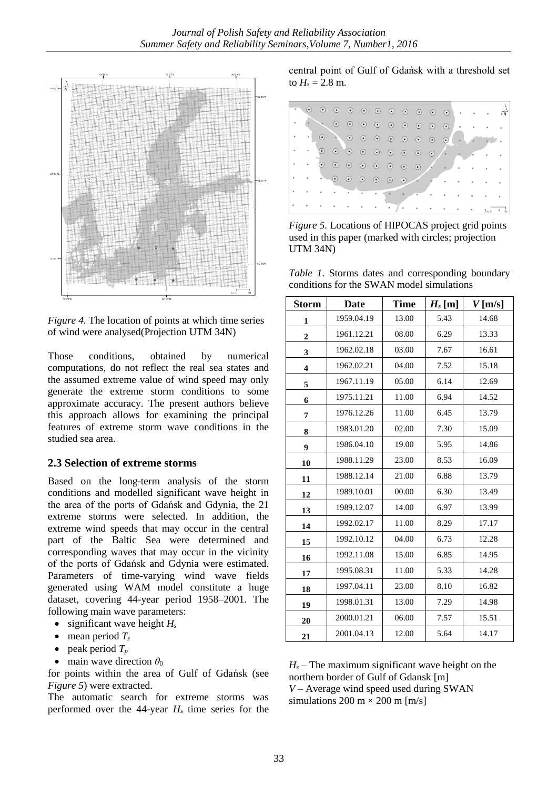

*Figure 4.* The location of points at which time series of wind were analysed(Projection UTM 34N)

Those conditions, obtained by numerical computations, do not reflect the real sea states and the assumed extreme value of wind speed may only generate the extreme storm conditions to some approximate accuracy. The present authors believe this approach allows for examining the principal features of extreme storm wave conditions in the studied sea area.

#### **2.3 Selection of extreme storms**

Based on the long-term analysis of the storm conditions and modelled significant wave height in the area of the ports of Gdańsk and Gdynia, the 21 extreme storms were selected. In addition, the extreme wind speeds that may occur in the central part of the Baltic Sea were determined and corresponding waves that may occur in the vicinity of the ports of Gdańsk and Gdynia were estimated. Parameters of time-varying wind wave fields generated using WAM model constitute a huge dataset, covering 44-year period 1958–2001. The following main wave parameters:

- $\bullet$  significant wave height  $H_s$
- $\bullet$  mean period  $T_z$
- peak period  $T_p$
- main wave direction  $\theta_0$

for points within the area of Gulf of Gdańsk (see *Figure 5*) were extracted.

The automatic search for extreme storms was performed over the 44-year *H<sup>s</sup>* time series for the central point of Gulf of Gdańsk with a threshold set to  $H_s = 2.8$  m.



*Figure 5.* Locations of HIPOCAS project grid points used in this paper (marked with circles; projection UTM 34N)

*Table 1*. Storms dates and corresponding boundary conditions for the SWAN model simulations

| <b>Storm</b>            | <b>Date</b> | <b>Time</b> | $H_s$ [m] | $V$ [m/s] |
|-------------------------|-------------|-------------|-----------|-----------|
| 1                       | 1959.04.19  | 13.00       | 5.43      | 14.68     |
| 2                       | 1961.12.21  | 08.00       | 6.29      | 13.33     |
| 3                       | 1962.02.18  | 03.00       | 7.67      | 16.61     |
| $\overline{\mathbf{4}}$ | 1962.02.21  | 04.00       | 7.52      | 15.18     |
| 5                       | 1967.11.19  | 05.00       | 6.14      | 12.69     |
| 6                       | 1975.11.21  | 11.00       | 6.94      | 14.52     |
| 7                       | 1976.12.26  | 11.00       | 6.45      | 13.79     |
| 8                       | 1983.01.20  | 02.00       | 7.30      | 15.09     |
| 9                       | 1986.04.10  | 19.00       | 5.95      | 14.86     |
| 10                      | 1988.11.29  | 23.00       | 8.53      | 16.09     |
| 11                      | 1988.12.14  | 21.00       | 6.88      | 13.79     |
| 12                      | 1989.10.01  | 00.00       | 6.30      | 13.49     |
| 13                      | 1989.12.07  | 14.00       | 6.97      | 13.99     |
| 14                      | 1992.02.17  | 11.00       | 8.29      | 17.17     |
| 15                      | 1992.10.12  | 04.00       | 6.73      | 12.28     |
| 16                      | 1992.11.08  | 15.00       | 6.85      | 14.95     |
| 17                      | 1995.08.31  | 11.00       | 5.33      | 14.28     |
| 18                      | 1997.04.11  | 23.00       | 8.10      | 16.82     |
| 19                      | 1998.01.31  | 13.00       | 7.29      | 14.98     |
| 20                      | 2000.01.21  | 06.00       | 7.57      | 15.51     |
| 21                      | 2001.04.13  | 12.00       | 5.64      | 14.17     |

 $H_s$  – The maximum significant wave height on the northern border of Gulf of Gdansk [m] *V* – Average wind speed used during SWAN simulations 200 m  $\times$  200 m [m/s]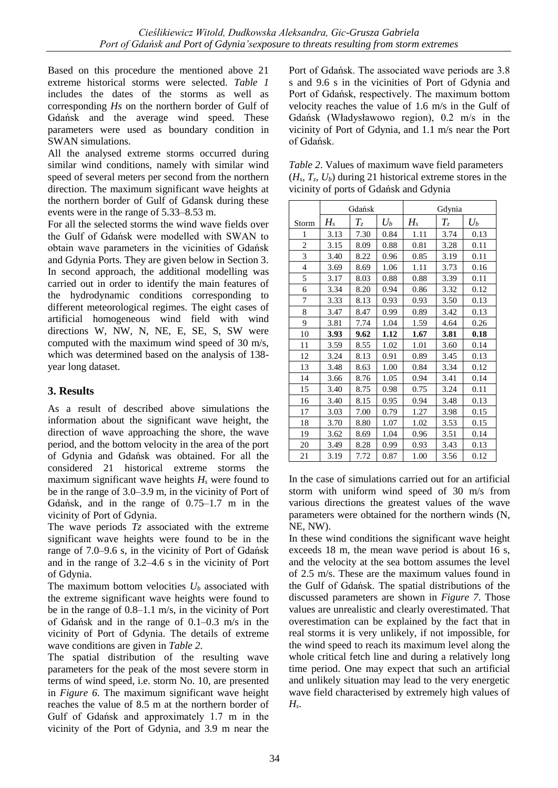Based on this procedure the mentioned above 21 extreme historical storms were selected. *Table 1* includes the dates of the storms as well as corresponding *Hs* on the northern border of Gulf of Gdańsk and the average wind speed. These parameters were used as boundary condition in SWAN simulations.

All the analysed extreme storms occurred during similar wind conditions, namely with similar wind speed of several meters per second from the northern direction. The maximum significant wave heights at the northern border of Gulf of Gdansk during these events were in the range of 5.33–8.53 m.

For all the selected storms the wind wave fields over the Gulf of Gdańsk were modelled with SWAN to obtain wave parameters in the vicinities of Gdańsk and Gdynia Ports. They are given below in Section 3. In second approach, the additional modelling was carried out in order to identify the main features of the hydrodynamic conditions corresponding to different meteorological regimes. The eight cases of artificial homogeneous wind field with wind directions W, NW, N, NE, E, SE, S, SW were computed with the maximum wind speed of 30 m/s, which was determined based on the analysis of 138 year long dataset.

### **3. Results**

As a result of described above simulations the information about the significant wave height, the direction of wave approaching the shore, the wave period, and the bottom velocity in the area of the port of Gdynia and Gdańsk was obtained. For all the considered 21 historical extreme storms the maximum significant wave heights  $H_s$  were found to be in the range of 3.0–3.9 m, in the vicinity of Port of Gdańsk, and in the range of 0.75–1.7 m in the vicinity of Port of Gdynia.

The wave periods *Tz* associated with the extreme significant wave heights were found to be in the range of 7.0–9.6 s, in the vicinity of Port of Gdańsk and in the range of 3.2–4.6 s in the vicinity of Port of Gdynia.

The maximum bottom velocities *U<sup>b</sup>* associated with the extreme significant wave heights were found to be in the range of 0.8–1.1 m/s, in the vicinity of Port of Gdańsk and in the range of 0.1–0.3 m/s in the vicinity of Port of Gdynia. The details of extreme wave conditions are given in *Table 2*.

The spatial distribution of the resulting wave parameters for the peak of the most severe storm in terms of wind speed, i.e. storm No. 10, are presented in *Figure 6*. The maximum significant wave height reaches the value of 8.5 m at the northern border of Gulf of Gdańsk and approximately 1.7 m in the vicinity of the Port of Gdynia, and 3.9 m near the Port of Gdańsk. The associated wave periods are 3.8 s and 9.6 s in the vicinities of Port of Gdynia and Port of Gdańsk, respectively. The maximum bottom velocity reaches the value of 1.6 m/s in the Gulf of Gdańsk (Władysławowo region), 0.2 m/s in the vicinity of Port of Gdynia, and 1.1 m/s near the Port of Gdańsk.

| <i>Table 2.</i> Values of maximum wave field parameters      |
|--------------------------------------------------------------|
| $(H_s, T_z, U_b)$ during 21 historical extreme stores in the |
| vicinity of ports of Gdańsk and Gdynia                       |

|                          | Gdańsk  |       |       | Gdynia |       |       |
|--------------------------|---------|-------|-------|--------|-------|-------|
| Storm                    | $H_{s}$ | $T_z$ | $U_b$ | $H_s$  | $T_z$ | $U_b$ |
| 1                        | 3.13    | 7.30  | 0.84  | 1.11   | 3.74  | 0.13  |
| 2                        | 3.15    | 8.09  | 0.88  | 0.81   | 3.28  | 0.11  |
| 3                        | 3.40    | 8.22  | 0.96  | 0.85   | 3.19  | 0.11  |
| $\overline{\mathcal{L}}$ | 3.69    | 8.69  | 1.06  | 1.11   | 3.73  | 0.16  |
| 5                        | 3.17    | 8.03  | 0.88  | 0.88   | 3.39  | 0.11  |
| 6                        | 3.34    | 8.20  | 0.94  | 0.86   | 3.32  | 0.12  |
| 7                        | 3.33    | 8.13  | 0.93  | 0.93   | 3.50  | 0.13  |
| 8                        | 3.47    | 8.47  | 0.99  | 0.89   | 3.42  | 0.13  |
| 9                        | 3.81    | 7.74  | 1.04  | 1.59   | 4.64  | 0.26  |
| 10                       | 3.93    | 9.62  | 1.12  | 1.67   | 3.81  | 0.18  |
| 11                       | 3.59    | 8.55  | 1.02  | 1.01   | 3.60  | 0.14  |
| 12                       | 3.24    | 8.13  | 0.91  | 0.89   | 3.45  | 0.13  |
| 13                       | 3.48    | 8.63  | 1.00  | 0.84   | 3.34  | 0.12  |
| 14                       | 3.66    | 8.76  | 1.05  | 0.94   | 3.41  | 0.14  |
| 15                       | 3.40    | 8.75  | 0.98  | 0.75   | 3.24  | 0.11  |
| 16                       | 3.40    | 8.15  | 0.95  | 0.94   | 3.48  | 0.13  |
| 17                       | 3.03    | 7.00  | 0.79  | 1.27   | 3.98  | 0.15  |
| 18                       | 3.70    | 8.80  | 1.07  | 1.02   | 3.53  | 0.15  |
| 19                       | 3.62    | 8.69  | 1.04  | 0.96   | 3.51  | 0.14  |
| 20                       | 3.49    | 8.28  | 0.99  | 0.93   | 3.43  | 0.13  |
| 21                       | 3.19    | 7.72  | 0.87  | 1.00   | 3.56  | 0.12  |

In the case of simulations carried out for an artificial storm with uniform wind speed of 30 m/s from various directions the greatest values of the wave parameters were obtained for the northern winds (N, NE, NW).

In these wind conditions the significant wave height exceeds 18 m, the mean wave period is about 16 s, and the velocity at the sea bottom assumes the level of 2.5 m/s. These are the maximum values found in the Gulf of Gdańsk. The spatial distributions of the discussed parameters are shown in *Figure 7*. Those values are unrealistic and clearly overestimated. That overestimation can be explained by the fact that in real storms it is very unlikely, if not impossible, for the wind speed to reach its maximum level along the whole critical fetch line and during a relatively long time period. One may expect that such an artificial and unlikely situation may lead to the very energetic wave field characterised by extremely high values of *Hs*.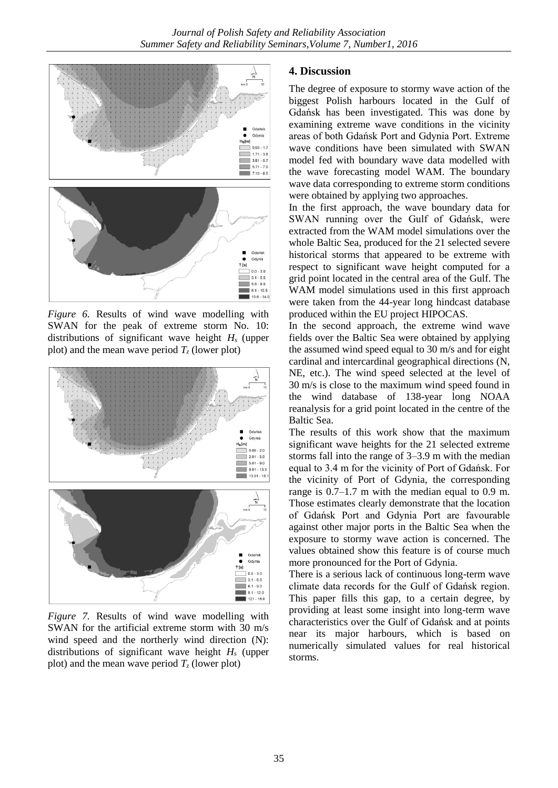

*Figure 6.* Results of wind wave modelling with SWAN for the peak of extreme storm No. 10: distributions of significant wave height *H<sup>s</sup>* (upper plot) and the mean wave period  $T_z$  (lower plot)



*Figure 7.* Results of wind wave modelling with SWAN for the artificial extreme storm with 30 m/s wind speed and the northerly wind direction (N): distributions of significant wave height *H<sup>s</sup>* (upper plot) and the mean wave period  $T_z$  (lower plot)

#### **4. Discussion**

The degree of exposure to stormy wave action of the biggest Polish harbours located in the Gulf of Gdańsk has been investigated. This was done by examining extreme wave conditions in the vicinity areas of both Gdańsk Port and Gdynia Port. Extreme wave conditions have been simulated with SWAN model fed with boundary wave data modelled with the wave forecasting model WAM. The boundary wave data corresponding to extreme storm conditions were obtained by applying two approaches.

In the first approach, the wave boundary data for SWAN running over the Gulf of Gdańsk, were extracted from the WAM model simulations over the whole Baltic Sea, produced for the 21 selected severe historical storms that appeared to be extreme with respect to significant wave height computed for a grid point located in the central area of the Gulf. The WAM model simulations used in this first approach were taken from the 44-year long hindcast database produced within the EU project HIPOCAS.

In the second approach, the extreme wind wave fields over the Baltic Sea were obtained by applying the assumed wind speed equal to 30 m/s and for eight cardinal and intercardinal geographical directions (N, NE, etc.). The wind speed selected at the level of 30 m/s is close to the maximum wind speed found in the wind database of 138-year long NOAA reanalysis for a grid point located in the centre of the Baltic Sea.

The results of this work show that the maximum significant wave heights for the 21 selected extreme storms fall into the range of 3–3.9 m with the median equal to 3.4 m for the vicinity of Port of Gdańsk. For the vicinity of Port of Gdynia, the corresponding range is 0.7–1.7 m with the median equal to 0.9 m. Those estimates clearly demonstrate that the location of Gdańsk Port and Gdynia Port are favourable against other major ports in the Baltic Sea when the exposure to stormy wave action is concerned. The values obtained show this feature is of course much more pronounced for the Port of Gdynia.

There is a serious lack of continuous long-term wave climate data records for the Gulf of Gdańsk region. This paper fills this gap, to a certain degree, by providing at least some insight into long-term wave characteristics over the Gulf of Gdańsk and at points near its major harbours, which is based on numerically simulated values for real historical storms.